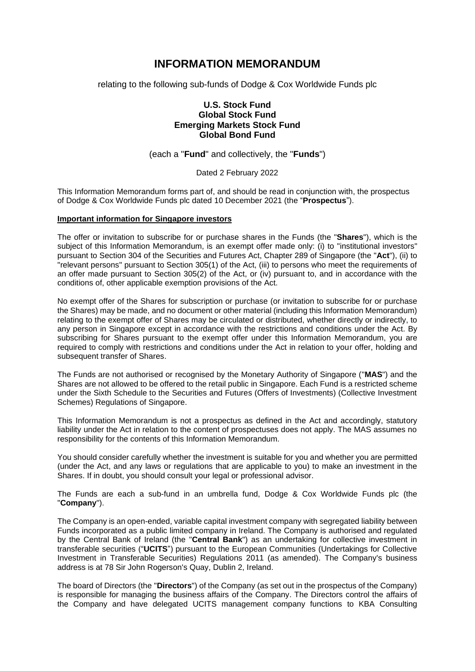# **INFORMATION MEMORANDUM**

relating to the following sub-funds of Dodge & Cox Worldwide Funds plc

## **U.S. Stock Fund Global Stock Fund Emerging Markets Stock Fund Global Bond Fund**

### (each a "**Fund**" and collectively, the "**Funds**")

#### Dated 2 February 2022

This Information Memorandum forms part of, and should be read in conjunction with, the prospectus of Dodge & Cox Worldwide Funds plc dated 10 December 2021 (the "**Prospectus**").

#### **Important information for Singapore investors**

The offer or invitation to subscribe for or purchase shares in the Funds (the "**Shares**"), which is the subject of this Information Memorandum, is an exempt offer made only: (i) to "institutional investors" pursuant to Section 304 of the Securities and Futures Act, Chapter 289 of Singapore (the "**Act**"), (ii) to "relevant persons" pursuant to Section 305(1) of the Act, (iii) to persons who meet the requirements of an offer made pursuant to Section 305(2) of the Act, or (iv) pursuant to, and in accordance with the conditions of, other applicable exemption provisions of the Act.

No exempt offer of the Shares for subscription or purchase (or invitation to subscribe for or purchase the Shares) may be made, and no document or other material (including this Information Memorandum) relating to the exempt offer of Shares may be circulated or distributed, whether directly or indirectly, to any person in Singapore except in accordance with the restrictions and conditions under the Act. By subscribing for Shares pursuant to the exempt offer under this Information Memorandum, you are required to comply with restrictions and conditions under the Act in relation to your offer, holding and subsequent transfer of Shares.

The Funds are not authorised or recognised by the Monetary Authority of Singapore ("**MAS**") and the Shares are not allowed to be offered to the retail public in Singapore. Each Fund is a restricted scheme under the Sixth Schedule to the Securities and Futures (Offers of Investments) (Collective Investment Schemes) Regulations of Singapore.

This Information Memorandum is not a prospectus as defined in the Act and accordingly, statutory liability under the Act in relation to the content of prospectuses does not apply. The MAS assumes no responsibility for the contents of this Information Memorandum.

You should consider carefully whether the investment is suitable for you and whether you are permitted (under the Act, and any laws or regulations that are applicable to you) to make an investment in the Shares. If in doubt, you should consult your legal or professional advisor.

The Funds are each a sub-fund in an umbrella fund, Dodge & Cox Worldwide Funds plc (the "**Company**").

The Company is an open-ended, variable capital investment company with segregated liability between Funds incorporated as a public limited company in Ireland. The Company is authorised and regulated by the Central Bank of Ireland (the "**Central Bank**") as an undertaking for collective investment in transferable securities ("**UCITS**") pursuant to the European Communities (Undertakings for Collective Investment in Transferable Securities) Regulations 2011 (as amended). The Company's business address is at 78 Sir John Rogerson's Quay, Dublin 2, Ireland.

The board of Directors (the "**Directors**") of the Company (as set out in the prospectus of the Company) is responsible for managing the business affairs of the Company. The Directors control the affairs of the Company and have delegated UCITS management company functions to KBA Consulting